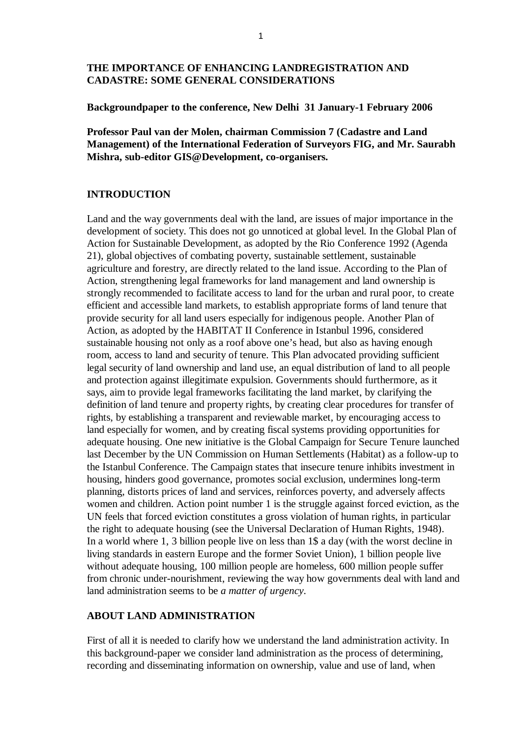## **THE IMPORTANCE OF ENHANCING LANDREGISTRATION AND CADASTRE: SOME GENERAL CONSIDERATIONS**

#### **Backgroundpaper to the conference, New Delhi 31 January-1 February 2006**

**Professor Paul van der Molen, chairman Commission 7 (Cadastre and Land Management) of the International Federation of Surveyors FIG, and Mr. Saurabh Mishra, sub-editor GIS@Development, co-organisers.** 

#### **INTRODUCTION**

Land and the way governments deal with the land, are issues of major importance in the development of society. This does not go unnoticed at global level. In the Global Plan of Action for Sustainable Development, as adopted by the Rio Conference 1992 (Agenda 21), global objectives of combating poverty, sustainable settlement, sustainable agriculture and forestry, are directly related to the land issue. According to the Plan of Action, strengthening legal frameworks for land management and land ownership is strongly recommended to facilitate access to land for the urban and rural poor, to create efficient and accessible land markets, to establish appropriate forms of land tenure that provide security for all land users especially for indigenous people. Another Plan of Action, as adopted by the HABITAT II Conference in Istanbul 1996, considered sustainable housing not only as a roof above one's head, but also as having enough room, access to land and security of tenure. This Plan advocated providing sufficient legal security of land ownership and land use, an equal distribution of land to all people and protection against illegitimate expulsion. Governments should furthermore, as it says, aim to provide legal frameworks facilitating the land market, by clarifying the definition of land tenure and property rights, by creating clear procedures for transfer of rights, by establishing a transparent and reviewable market, by encouraging access to land especially for women, and by creating fiscal systems providing opportunities for adequate housing. One new initiative is the Global Campaign for Secure Tenure launched last December by the UN Commission on Human Settlements (Habitat) as a follow-up to the Istanbul Conference. The Campaign states that insecure tenure inhibits investment in housing, hinders good governance, promotes social exclusion, undermines long-term planning, distorts prices of land and services, reinforces poverty, and adversely affects women and children. Action point number 1 is the struggle against forced eviction, as the UN feels that forced eviction constitutes a gross violation of human rights, in particular the right to adequate housing (see the Universal Declaration of Human Rights, 1948). In a world where 1, 3 billion people live on less than 1\$ a day (with the worst decline in living standards in eastern Europe and the former Soviet Union), 1 billion people live without adequate housing, 100 million people are homeless, 600 million people suffer from chronic under-nourishment, reviewing the way how governments deal with land and land administration seems to be *a matter of urgency*.

## **ABOUT LAND ADMINISTRATION**

First of all it is needed to clarify how we understand the land administration activity. In this background-paper we consider land administration as the process of determining, recording and disseminating information on ownership, value and use of land, when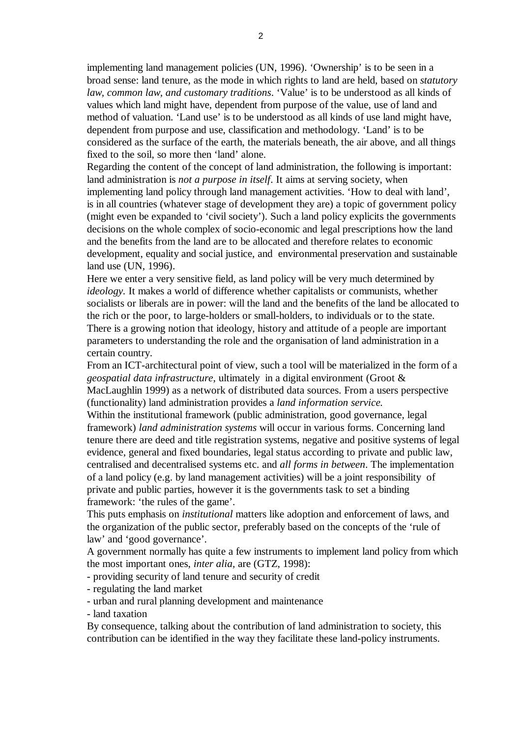implementing land management policies (UN, 1996). 'Ownership' is to be seen in a broad sense: land tenure, as the mode in which rights to land are held, based on *statutory law, common law, and customary traditions*. 'Value' is to be understood as all kinds of values which land might have, dependent from purpose of the value, use of land and method of valuation. 'Land use' is to be understood as all kinds of use land might have, dependent from purpose and use, classification and methodology. 'Land' is to be considered as the surface of the earth, the materials beneath, the air above, and all things fixed to the soil, so more then 'land' alone.

Regarding the content of the concept of land administration, the following is important: land administration is *not a purpose in itself*. It aims at serving society, when implementing land policy through land management activities. 'How to deal with land', is in all countries (whatever stage of development they are) a topic of government policy (might even be expanded to 'civil society'). Such a land policy explicits the governments decisions on the whole complex of socio-economic and legal prescriptions how the land and the benefits from the land are to be allocated and therefore relates to economic development, equality and social justice, and environmental preservation and sustainable land use (UN, 1996).

Here we enter a very sensitive field, as land policy will be very much determined by *ideology.* It makes a world of difference whether capitalists or communists, whether socialists or liberals are in power: will the land and the benefits of the land be allocated to the rich or the poor, to large-holders or small-holders, to individuals or to the state. There is a growing notion that ideology, history and attitude of a people are important parameters to understanding the role and the organisation of land administration in a certain country.

From an ICT-architectural point of view, such a tool will be materialized in the form of a *geospatial data infrastructure*, ultimately in a digital environment (Groot & MacLaughlin 1999) as a network of distributed data sources. From a users perspective

(functionality) land administration provides a *land information service.* 

Within the institutional framework (public administration, good governance, legal framework) *land administration systems* will occur in various forms. Concerning land tenure there are deed and title registration systems, negative and positive systems of legal evidence, general and fixed boundaries, legal status according to private and public law, centralised and decentralised systems etc. and *all forms in between*. The implementation of a land policy (e.g. by land management activities) will be a joint responsibility of private and public parties, however it is the governments task to set a binding framework: 'the rules of the game'.

This puts emphasis on *institutional* matters like adoption and enforcement of laws, and the organization of the public sector, preferably based on the concepts of the 'rule of law' and 'good governance'.

A government normally has quite a few instruments to implement land policy from which the most important ones, *inter alia,* are (GTZ, 1998):

- providing security of land tenure and security of credit

- regulating the land market

- urban and rural planning development and maintenance

- land taxation

By consequence, talking about the contribution of land administration to society, this contribution can be identified in the way they facilitate these land-policy instruments.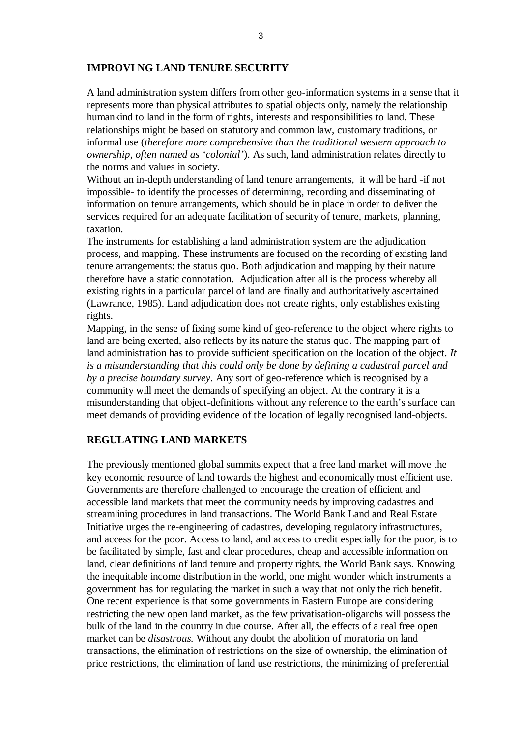#### **IMPROVI NG LAND TENURE SECURITY**

A land administration system differs from other geo-information systems in a sense that it represents more than physical attributes to spatial objects only, namely the relationship humankind to land in the form of rights, interests and responsibilities to land. These relationships might be based on statutory and common law, customary traditions, or informal use (*therefore more comprehensive than the traditional western approach to ownership, often named as 'colonial'*). As such, land administration relates directly to the norms and values in society.

Without an in-depth understanding of land tenure arrangements, it will be hard -if not impossible- to identify the processes of determining, recording and disseminating of information on tenure arrangements, which should be in place in order to deliver the services required for an adequate facilitation of security of tenure, markets, planning, taxation.

The instruments for establishing a land administration system are the adjudication process, and mapping. These instruments are focused on the recording of existing land tenure arrangements: the status quo. Both adjudication and mapping by their nature therefore have a static connotation. Adjudication after all is the process whereby all existing rights in a particular parcel of land are finally and authoritatively ascertained (Lawrance, 1985). Land adjudication does not create rights, only establishes existing rights.

Mapping, in the sense of fixing some kind of geo-reference to the object where rights to land are being exerted, also reflects by its nature the status quo. The mapping part of land administration has to provide sufficient specification on the location of the object. *It is a misunderstanding that this could only be done by defining a cadastral parcel and by a precise boundary survey*. Any sort of geo-reference which is recognised by a community will meet the demands of specifying an object. At the contrary it is a misunderstanding that object-definitions without any reference to the earth's surface can meet demands of providing evidence of the location of legally recognised land-objects.

### **REGULATING LAND MARKETS**

The previously mentioned global summits expect that a free land market will move the key economic resource of land towards the highest and economically most efficient use. Governments are therefore challenged to encourage the creation of efficient and accessible land markets that meet the community needs by improving cadastres and streamlining procedures in land transactions. The World Bank Land and Real Estate Initiative urges the re-engineering of cadastres, developing regulatory infrastructures, and access for the poor. Access to land, and access to credit especially for the poor, is to be facilitated by simple, fast and clear procedures, cheap and accessible information on land, clear definitions of land tenure and property rights, the World Bank says. Knowing the inequitable income distribution in the world, one might wonder which instruments a government has for regulating the market in such a way that not only the rich benefit. One recent experience is that some governments in Eastern Europe are considering restricting the new open land market, as the few privatisation-oligarchs will possess the bulk of the land in the country in due course. After all, the effects of a real free open market can be *disastrous.* Without any doubt the abolition of moratoria on land transactions, the elimination of restrictions on the size of ownership, the elimination of price restrictions, the elimination of land use restrictions, the minimizing of preferential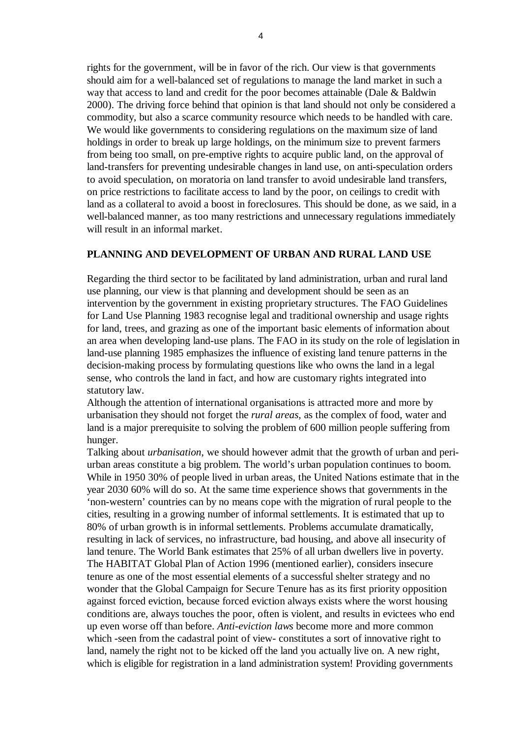rights for the government, will be in favor of the rich. Our view is that governments should aim for a well-balanced set of regulations to manage the land market in such a way that access to land and credit for the poor becomes attainable (Dale & Baldwin 2000). The driving force behind that opinion is that land should not only be considered a commodity, but also a scarce community resource which needs to be handled with care. We would like governments to considering regulations on the maximum size of land holdings in order to break up large holdings, on the minimum size to prevent farmers from being too small, on pre-emptive rights to acquire public land, on the approval of land-transfers for preventing undesirable changes in land use, on anti-speculation orders to avoid speculation, on moratoria on land transfer to avoid undesirable land transfers, on price restrictions to facilitate access to land by the poor, on ceilings to credit with land as a collateral to avoid a boost in foreclosures. This should be done, as we said, in a well-balanced manner, as too many restrictions and unnecessary regulations immediately will result in an informal market.

### **PLANNING AND DEVELOPMENT OF URBAN AND RURAL LAND USE**

Regarding the third sector to be facilitated by land administration, urban and rural land use planning, our view is that planning and development should be seen as an intervention by the government in existing proprietary structures. The FAO Guidelines for Land Use Planning 1983 recognise legal and traditional ownership and usage rights for land, trees, and grazing as one of the important basic elements of information about an area when developing land-use plans. The FAO in its study on the role of legislation in land-use planning 1985 emphasizes the influence of existing land tenure patterns in the decision-making process by formulating questions like who owns the land in a legal sense, who controls the land in fact, and how are customary rights integrated into statutory law.

Although the attention of international organisations is attracted more and more by urbanisation they should not forget the *rural areas,* as the complex of food, water and land is a major prerequisite to solving the problem of 600 million people suffering from hunger.

Talking about *urbanisation*, we should however admit that the growth of urban and periurban areas constitute a big problem. The world's urban population continues to boom. While in 1950 30% of people lived in urban areas, the United Nations estimate that in the year 2030 60% will do so. At the same time experience shows that governments in the 'non-western' countries can by no means cope with the migration of rural people to the cities, resulting in a growing number of informal settlements. It is estimated that up to 80% of urban growth is in informal settlements. Problems accumulate dramatically, resulting in lack of services, no infrastructure, bad housing, and above all insecurity of land tenure. The World Bank estimates that 25% of all urban dwellers live in poverty. The HABITAT Global Plan of Action 1996 (mentioned earlier), considers insecure tenure as one of the most essential elements of a successful shelter strategy and no wonder that the Global Campaign for Secure Tenure has as its first priority opposition against forced eviction, because forced eviction always exists where the worst housing conditions are, always touches the poor, often is violent, and results in evictees who end up even worse off than before. *Anti-eviction laws* become more and more common which -seen from the cadastral point of view- constitutes a sort of innovative right to land, namely the right not to be kicked off the land you actually live on. A new right, which is eligible for registration in a land administration system! Providing governments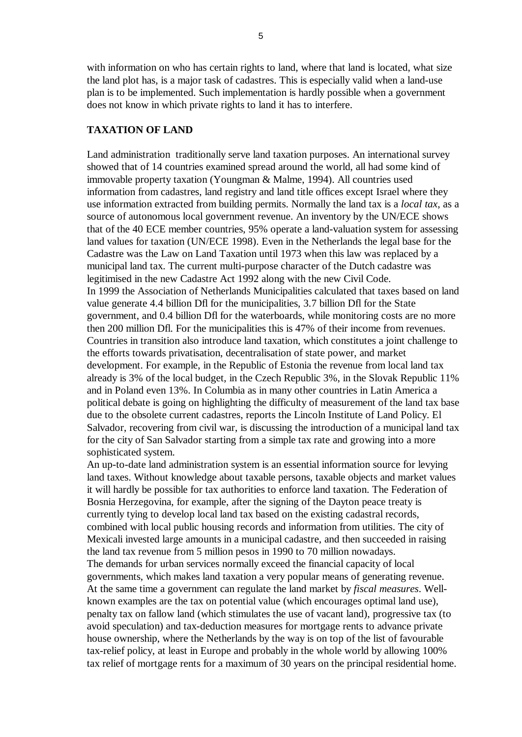with information on who has certain rights to land, where that land is located, what size the land plot has, is a major task of cadastres. This is especially valid when a land-use plan is to be implemented. Such implementation is hardly possible when a government does not know in which private rights to land it has to interfere.

## **TAXATION OF LAND**

Land administration traditionally serve land taxation purposes. An international survey showed that of 14 countries examined spread around the world, all had some kind of immovable property taxation (Youngman & Malme, 1994). All countries used information from cadastres, land registry and land title offices except Israel where they use information extracted from building permits. Normally the land tax is a *local tax*, as a source of autonomous local government revenue. An inventory by the UN/ECE shows that of the 40 ECE member countries, 95% operate a land-valuation system for assessing land values for taxation (UN/ECE 1998). Even in the Netherlands the legal base for the Cadastre was the Law on Land Taxation until 1973 when this law was replaced by a municipal land tax. The current multi-purpose character of the Dutch cadastre was legitimised in the new Cadastre Act 1992 along with the new Civil Code. In 1999 the Association of Netherlands Municipalities calculated that taxes based on land value generate 4.4 billion Dfl for the municipalities, 3.7 billion Dfl for the State government, and 0.4 billion Dfl for the waterboards, while monitoring costs are no more then 200 million Dfl. For the municipalities this is 47% of their income from revenues. Countries in transition also introduce land taxation, which constitutes a joint challenge to the efforts towards privatisation, decentralisation of state power, and market development. For example, in the Republic of Estonia the revenue from local land tax already is 3% of the local budget, in the Czech Republic 3%, in the Slovak Republic 11% and in Poland even 13%. In Columbia as in many other countries in Latin America a political debate is going on highlighting the difficulty of measurement of the land tax base due to the obsolete current cadastres, reports the Lincoln Institute of Land Policy. El Salvador, recovering from civil war, is discussing the introduction of a municipal land tax for the city of San Salvador starting from a simple tax rate and growing into a more sophisticated system.

An up-to-date land administration system is an essential information source for levying land taxes. Without knowledge about taxable persons, taxable objects and market values it will hardly be possible for tax authorities to enforce land taxation. The Federation of Bosnia Herzegovina, for example, after the signing of the Dayton peace treaty is currently tying to develop local land tax based on the existing cadastral records, combined with local public housing records and information from utilities. The city of Mexicali invested large amounts in a municipal cadastre, and then succeeded in raising the land tax revenue from 5 million pesos in 1990 to 70 million nowadays. The demands for urban services normally exceed the financial capacity of local governments, which makes land taxation a very popular means of generating revenue. At the same time a government can regulate the land market by *fiscal measures*. Wellknown examples are the tax on potential value (which encourages optimal land use), penalty tax on fallow land (which stimulates the use of vacant land), progressive tax (to avoid speculation) and tax-deduction measures for mortgage rents to advance private house ownership, where the Netherlands by the way is on top of the list of favourable tax-relief policy, at least in Europe and probably in the whole world by allowing 100% tax relief of mortgage rents for a maximum of 30 years on the principal residential home.